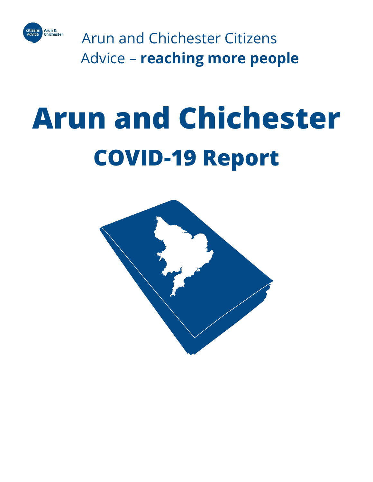

Arun and Chichester Citizens Advice – **reaching more people**

# **Arun and Chichester COVID-19 Report**

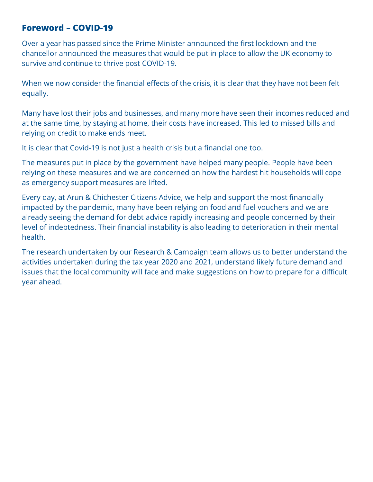## **Foreword – COVID-19**

Over a year has passed since the Prime Minister announced the first lockdown and the chancellor announced the measures that would be put in place to allow the UK economy to survive and continue to thrive post COVID-19.

When we now consider the financial effects of the crisis, it is clear that they have not been felt equally.

Many have lost their jobs and businesses, and many more have seen their incomes reduced and at the same time, by staying at home, their costs have increased. This led to missed bills and relying on credit to make ends meet.

It is clear that Covid-19 is not just a health crisis but a financial one too.

The measures put in place by the government have helped many people. People have been relying on these measures and we are concerned on how the hardest hit households will cope as emergency support measures are lifted.

Every day, at Arun & Chichester Citizens Advice, we help and support the most financially impacted by the pandemic, many have been relying on food and fuel vouchers and we are already seeing the demand for debt advice rapidly increasing and people concerned by their level of indebtedness. Their financial instability is also leading to deterioration in their mental health.

The research undertaken by our Research & Campaign team allows us to better understand the activities undertaken during the tax year 2020 and 2021, understand likely future demand and issues that the local community will face and make suggestions on how to prepare for a difficult year ahead.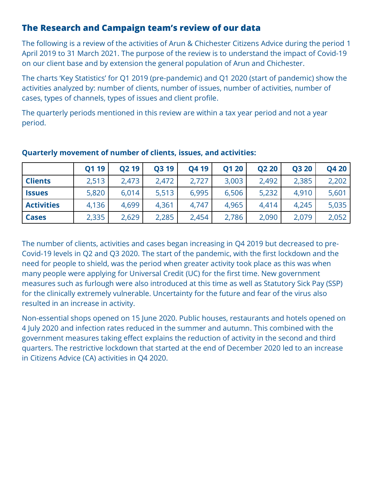# **The Research and Campaign team's review of our data**

The following is a review of the activities of Arun & Chichester Citizens Advice during the period 1 April 2019 to 31 March 2021. The purpose of the review is to understand the impact of Covid-19 on our client base and by extension the general population of Arun and Chichester.

The charts 'Key Statistics' for Q1 2019 (pre-pandemic) and Q1 2020 (start of pandemic) show the activities analyzed by: number of clients, number of issues, number of activities, number of cases, types of channels, types of issues and client profile.

The quarterly periods mentioned in this review are within a tax year period and not a year period.

|                   | Q1 19 | <b>Q2 19</b> | <b>Q3 19</b> | <b>Q4 19</b> | <b>Q120</b> | <b>Q220</b> | <b>Q3 20</b> | <b>Q4 20</b> |
|-------------------|-------|--------------|--------------|--------------|-------------|-------------|--------------|--------------|
| <b>Clients</b>    | 2,513 | 2,473        | 2,472        | 2,727        | 3,003       | 2,492       | 2,385        | 2,202        |
| <b>Issues</b>     | 5,820 | 6,014        | 5,513        | 6,995        | 6,506       | 5,232       | 4,910        | 5,601        |
| <b>Activities</b> | 4,136 | 4,699        | 4,361        | 4,747        | 4,965       | 4,414       | 4,245        | 5,035        |
| <b>Cases</b>      | 2,335 | 2,629        | 2,285        | 2,454        | 2,786       | 2,090       | 2,079        | 2,052        |

#### **Quarterly movement of number of clients, issues, and activities:**

The number of clients, activities and cases began increasing in Q4 2019 but decreased to pre-Covid-19 levels in Q2 and Q3 2020. The start of the pandemic, with the first lockdown and the need for people to shield, was the period when greater activity took place as this was when many people were applying for Universal Credit (UC) for the first time. New government measures such as furlough were also introduced at this time as well as Statutory Sick Pay (SSP) for the clinically extremely vulnerable. Uncertainty for the future and fear of the virus also resulted in an increase in activity.

Non-essential shops opened on 15 June 2020. Public houses, restaurants and hotels opened on 4 July 2020 and infection rates reduced in the summer and autumn. This combined with the government measures taking effect explains the reduction of activity in the second and third quarters. The restrictive lockdown that started at the end of December 2020 led to an increase in Citizens Advice (CA) activities in Q4 2020.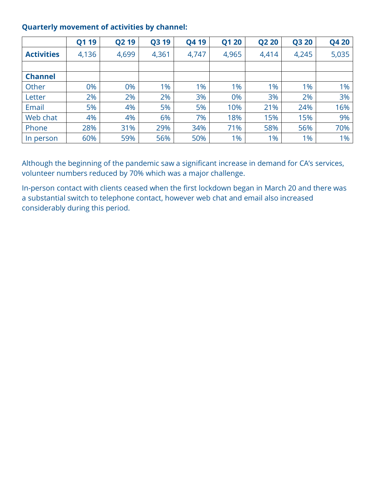#### **Quarterly movement of activities by channel:**

|                   | Q1 19 | Q <sub>2</sub> 19 | Q3 19 | Q4 19 | Q1 20 | Q <sub>2</sub> 20 | <b>Q320</b> | Q4 20 |
|-------------------|-------|-------------------|-------|-------|-------|-------------------|-------------|-------|
| <b>Activities</b> | 4,136 | 4,699             | 4,361 | 4,747 | 4,965 | 4,414             | 4,245       | 5,035 |
|                   |       |                   |       |       |       |                   |             |       |
| <b>Channel</b>    |       |                   |       |       |       |                   |             |       |
| Other             | 0%    | 0%                | 1%    | 1%    | 1%    | 1%                | 1%          | 1%    |
| Letter            | 2%    | 2%                | 2%    | 3%    | 0%    | 3%                | 2%          | 3%    |
| Email             | 5%    | 4%                | 5%    | 5%    | 10%   | 21%               | 24%         | 16%   |
| Web chat          | 4%    | 4%                | 6%    | 7%    | 18%   | 15%               | 15%         | 9%    |
| Phone             | 28%   | 31%               | 29%   | 34%   | 71%   | 58%               | 56%         | 70%   |
| In person         | 60%   | 59%               | 56%   | 50%   | 1%    | 1%                | 1%          | 1%    |

Although the beginning of the pandemic saw a significant increase in demand for CA's services, volunteer numbers reduced by 70% which was a major challenge.

In-person contact with clients ceased when the first lockdown began in March 20 and there was a substantial switch to telephone contact, however web chat and email also increased considerably during this period.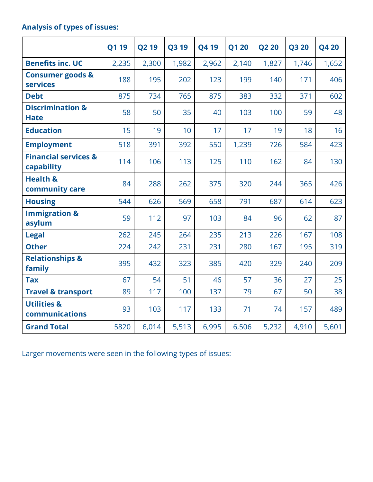# **Analysis of types of issues:**

|                                                | Q1 19 | Q2 19 | Q3 19 | Q4 19 | Q1 20 | Q2 20 | Q3 20 | Q4 20 |
|------------------------------------------------|-------|-------|-------|-------|-------|-------|-------|-------|
| <b>Benefits inc. UC</b>                        | 2,235 | 2,300 | 1,982 | 2,962 | 2,140 | 1,827 | 1,746 | 1,652 |
| <b>Consumer goods &amp;</b><br><b>services</b> | 188   | 195   | 202   | 123   | 199   | 140   | 171   | 406   |
| <b>Debt</b>                                    | 875   | 734   | 765   | 875   | 383   | 332   | 371   | 602   |
| <b>Discrimination &amp;</b><br><b>Hate</b>     | 58    | 50    | 35    | 40    | 103   | 100   | 59    | 48    |
| <b>Education</b>                               | 15    | 19    | 10    | 17    | 17    | 19    | 18    | 16    |
| <b>Employment</b>                              | 518   | 391   | 392   | 550   | 1,239 | 726   | 584   | 423   |
| <b>Financial services &amp;</b><br>capability  | 114   | 106   | 113   | 125   | 110   | 162   | 84    | 130   |
| <b>Health &amp;</b><br>community care          | 84    | 288   | 262   | 375   | 320   | 244   | 365   | 426   |
| <b>Housing</b>                                 | 544   | 626   | 569   | 658   | 791   | 687   | 614   | 623   |
| <b>Immigration &amp;</b><br>asylum             | 59    | 112   | 97    | 103   | 84    | 96    | 62    | 87    |
| <b>Legal</b>                                   | 262   | 245   | 264   | 235   | 213   | 226   | 167   | 108   |
| <b>Other</b>                                   | 224   | 242   | 231   | 231   | 280   | 167   | 195   | 319   |
| <b>Relationships &amp;</b><br>family           | 395   | 432   | 323   | 385   | 420   | 329   | 240   | 209   |
| <b>Tax</b>                                     | 67    | 54    | 51    | 46    | 57    | 36    | 27    | 25    |
| <b>Travel &amp; transport</b>                  | 89    | 117   | 100   | 137   | 79    | 67    | 50    | 38    |
| <b>Utilities &amp;</b><br>communications       | 93    | 103   | 117   | 133   | 71    | 74    | 157   | 489   |
| <b>Grand Total</b>                             | 5820  | 6,014 | 5,513 | 6,995 | 6,506 | 5,232 | 4,910 | 5,601 |

Larger movements were seen in the following types of issues: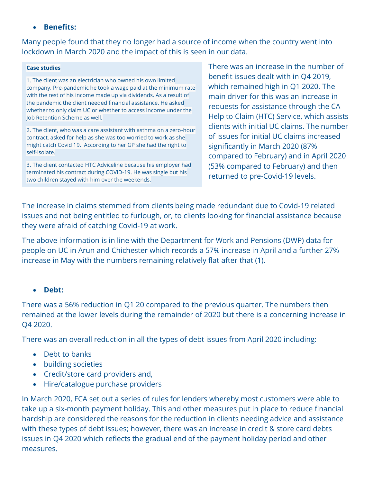• **Benefits:**

Many people found that they no longer had a source of income when the country went into lockdown in March 2020 and the impact of this is seen in our data.

#### **Case studies**

1. The client was an electrician who owned his own limited company. Pre-pandemic he took a wage paid at the minimum rate with the rest of his income made up via dividends. As a result of the pandemic the client needed financial assistance. He asked whether to only claim UC or whether to access income under the Job Retention Scheme as well.

2. The client, who was a care assistant with asthma on a zero-hour contract, asked for help as she was too worried to work as she might catch Covid 19. According to her GP she had the right to self-isolate.

3. The client contacted HTC Adviceline because his employer had terminated his contract during COVID-19. He was single but his two children stayed with him over the weekends.

There was an increase in the number of benefit issues dealt with in Q4 2019, which remained high in Q1 2020. The main driver for this was an increase in requests for assistance through the CA Help to Claim (HTC) Service, which assists clients with initial UC claims. The number of issues for initial UC claims increased significantly in March 2020 (87% compared to February) and in April 2020 (53% compared to February) and then returned to pre-Covid-19 levels.

The increase in claims stemmed from clients being made redundant due to Covid-19 related issues and not being entitled to furlough, or, to clients looking for financial assistance because they were afraid of catching Covid-19 at work.

The above information is in line with the Department for Work and Pensions (DWP) data for people on UC in Arun and Chichester which records a 57% increase in April and a further 27% increase in May with the numbers remaining relatively flat after that (1).

#### • **Debt:**

There was a 56% reduction in Q1 20 compared to the previous quarter. The numbers then remained at the lower levels during the remainder of 2020 but there is a concerning increase in Q4 2020.

There was an overall reduction in all the types of debt issues from April 2020 including:

- Debt to banks
- building societies
- Credit/store card providers and,
- Hire/catalogue purchase providers

In March 2020, FCA set out a series of rules for lenders whereby most customers were able to take up a six-month payment holiday. This and other measures put in place to reduce financial hardship are considered the reasons for the reduction in clients needing advice and assistance with these types of debt issues; however, there was an increase in credit & store card debts issues in Q4 2020 which reflects the gradual end of the payment holiday period and other measures.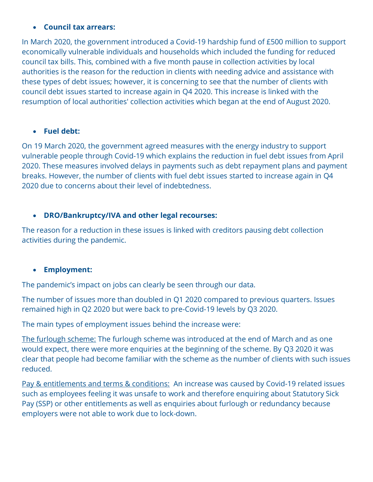#### • **Council tax arrears:**

In March 2020, the government introduced a Covid-19 hardship fund of £500 million to support economically vulnerable individuals and households which included the funding for reduced council tax bills. This, combined with a five month pause in collection activities by local authorities is the reason for the reduction in clients with needing advice and assistance with these types of debt issues; however, it is concerning to see that the number of clients with council debt issues started to increase again in Q4 2020. This increase is linked with the resumption of local authorities' collection activities which began at the end of August 2020.

#### • **Fuel debt:**

On 19 March 2020, the government agreed measures with the energy industry to support vulnerable people through Covid-19 which explains the reduction in fuel debt issues from April 2020. These measures involved delays in payments such as debt repayment plans and payment breaks. However, the number of clients with fuel debt issues started to increase again in Q4 2020 due to concerns about their level of indebtedness.

#### • **DRO/Bankruptcy/IVA and other legal recourses:**

The reason for a reduction in these issues is linked with creditors pausing debt collection activities during the pandemic.

#### • **Employment:**

The pandemic's impact on jobs can clearly be seen through our data.

The number of issues more than doubled in Q1 2020 compared to previous quarters. Issues remained high in Q2 2020 but were back to pre-Covid-19 levels by Q3 2020.

The main types of employment issues behind the increase were:

The furlough scheme: The furlough scheme was introduced at the end of March and as one would expect, there were more enquiries at the beginning of the scheme. By Q3 2020 it was clear that people had become familiar with the scheme as the number of clients with such issues reduced.

Pay & entitlements and terms & conditions: An increase was caused by Covid-19 related issues such as employees feeling it was unsafe to work and therefore enquiring about Statutory Sick Pay (SSP) or other entitlements as well as enquiries about furlough or redundancy because employers were not able to work due to lock-down.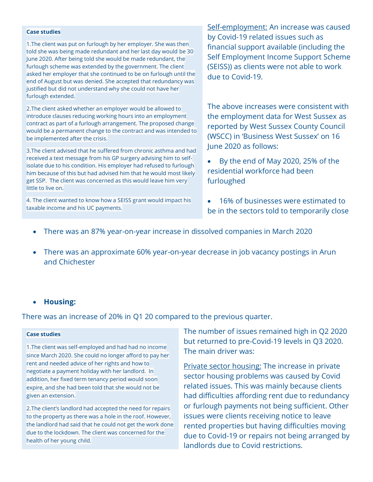#### **Case studies**

1. The client was put on furlough by her employer. She was then told she was being made redundant and her last day would be 30 June 2020. After being told she would be made redundant, the furlough scheme was extended by the government. The client asked her employer that she continued to be on furlough until the end of August but was denied. She accepted that redundancy was justified but did not understand why she could not have her furlough extended.

2.The client asked whether an employer would be allowed to introduce clauses reducing working hours into an employment contract as part of a furlough arrangement. The proposed change would be a permanent change to the contract and was intended to be implemented after the crisis.

3.The client advised that he suffered from chronic asthma and had received a text message from his GP surgery advising him to selfisolate due to his condition. His employer had refused to furlough him because of this but had advised him that he would most likely get SSP. The client was concerned as this would leave him very little to live on.

4. The client wanted to know how a SEISS grant would impact his taxable income and his UC payments.

Self-employment: An increase was caused by Covid-19 related issues such as financial support available (including the Self Employment Income Support Scheme (SEISS)) as clients were not able to work due to Covid-19.

The above increases were consistent with the employment data for West Sussex as reported by West Sussex County Council (WSCC) in 'Business West Sussex' on 16 June 2020 as follows:

- By the end of May 2020, 25% of the residential workforce had been furloughed
- 16% of businesses were estimated to be in the sectors told to temporarily close
- There was an 87% year-on-year increase in dissolved companies in March 2020
- There was an approximate 60% year-on-year decrease in job vacancy postings in Arun and Chichester

#### • **Housing:**

There was an increase of 20% in Q1 20 compared to the previous quarter.

#### **Case studies**

1.The client was self-employed and had had no income since March 2020. She could no longer afford to pay her rent and needed advice of her rights and how to negotiate a payment holiday with her landlord. In addition, her fixed term tenancy period would soon expire, and she had been told that she would not be given an extension.

2.The client's landlord had accepted the need for repairs to the property as there was a hole in the roof. However, the landlord had said that he could not get the work done due to the lockdown. The client was concerned for the health of her young child.

The number of issues remained high in Q2 2020 but returned to pre-Covid-19 levels in Q3 2020. The main driver was:

Private sector housing: The increase in private sector housing problems was caused by Covid related issues. This was mainly because clients had difficulties affording rent due to redundancy or furlough payments not being sufficient. Other issues were clients receiving notice to leave rented properties but having difficulties moving due to Covid-19 or repairs not being arranged by landlords due to Covid restrictions.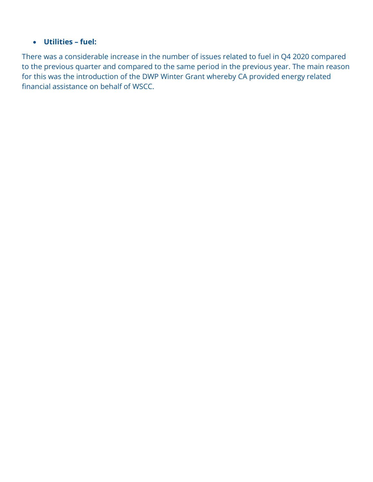#### • **Utilities – fuel:**

There was a considerable increase in the number of issues related to fuel in Q4 2020 compared to the previous quarter and compared to the same period in the previous year. The main reason for this was the introduction of the DWP Winter Grant whereby CA provided energy related financial assistance on behalf of WSCC.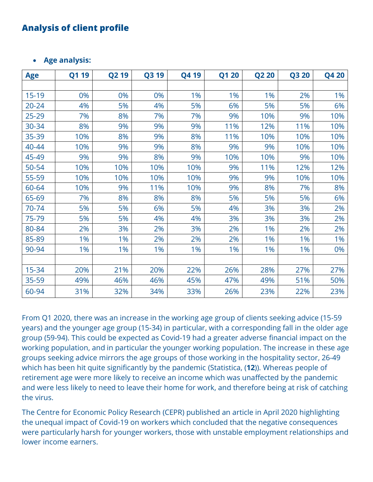# **Analysis of client profile**

• **Age analysis:**

| <b>Age</b> | Q1 19 | <b>Q219</b> | Q3 19 | Q4 19 | Q1 20 | <b>Q220</b> | <b>Q3 20</b> | Q4 20 |
|------------|-------|-------------|-------|-------|-------|-------------|--------------|-------|
|            |       |             |       |       |       |             |              |       |
| $15 - 19$  | 0%    | 0%          | 0%    | 1%    | 1%    | 1%          | 2%           | 1%    |
| $20 - 24$  | 4%    | 5%          | 4%    | 5%    | 6%    | 5%          | 5%           | 6%    |
| 25-29      | 7%    | 8%          | 7%    | 7%    | 9%    | 10%         | 9%           | 10%   |
| 30-34      | 8%    | 9%          | 9%    | 9%    | 11%   | 12%         | 11%          | 10%   |
| 35-39      | 10%   | 8%          | 9%    | 8%    | 11%   | 10%         | 10%          | 10%   |
| 40-44      | 10%   | 9%          | 9%    | 8%    | 9%    | 9%          | 10%          | 10%   |
| 45-49      | 9%    | 9%          | 8%    | 9%    | 10%   | 10%         | 9%           | 10%   |
| 50-54      | 10%   | 10%         | 10%   | 10%   | 9%    | 11%         | 12%          | 12%   |
| 55-59      | 10%   | 10%         | 10%   | 10%   | 9%    | 9%          | 10%          | 10%   |
| 60-64      | 10%   | 9%          | 11%   | 10%   | 9%    | 8%          | 7%           | 8%    |
| 65-69      | 7%    | 8%          | 8%    | 8%    | 5%    | 5%          | 5%           | 6%    |
| 70-74      | 5%    | 5%          | 6%    | 5%    | 4%    | 3%          | 3%           | 2%    |
| 75-79      | 5%    | 5%          | 4%    | 4%    | 3%    | 3%          | 3%           | 2%    |
| 80-84      | 2%    | 3%          | 2%    | 3%    | 2%    | 1%          | 2%           | 2%    |
| 85-89      | 1%    | 1%          | 2%    | 2%    | 2%    | 1%          | 1%           | 1%    |
| 90-94      | 1%    | 1%          | 1%    | 1%    | 1%    | 1%          | 1%           | 0%    |
|            |       |             |       |       |       |             |              |       |
| 15-34      | 20%   | 21%         | 20%   | 22%   | 26%   | 28%         | 27%          | 27%   |
| 35-59      | 49%   | 46%         | 46%   | 45%   | 47%   | 49%         | 51%          | 50%   |
| 60-94      | 31%   | 32%         | 34%   | 33%   | 26%   | 23%         | 22%          | 23%   |

From Q1 2020, there was an increase in the working age group of clients seeking advice (15-59 years) and the younger age group (15-34) in particular, with a corresponding fall in the older age group (59-94). This could be expected as Covid-19 had a greater adverse financial impact on the working population, and in particular the younger working population. The increase in these age groups seeking advice mirrors the age groups of those working in the hospitality sector, 26-49 which has been hit quite significantly by the pandemic (Statistica, (**12**)). Whereas people of retirement age were more likely to receive an income which was unaffected by the pandemic and were less likely to need to leave their home for work, and therefore being at risk of catching the virus.

The Centre for Economic Policy Research (CEPR) published an article in April 2020 highlighting the unequal impact of Covid-19 on workers which concluded that the negative consequences were particularly harsh for younger workers, those with unstable employment relationships and lower income earners.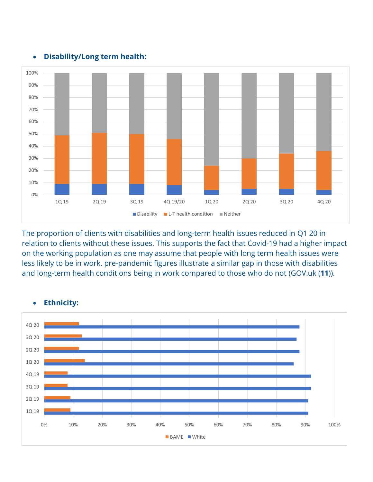

• **Disability/Long term health:**

The proportion of clients with disabilities and long-term health issues reduced in Q1 20 in relation to clients without these issues. This supports the fact that Covid-19 had a higher impact on the working population as one may assume that people with long term health issues were less likely to be in work. pre-pandemic figures illustrate a similar gap in those with disabilities and long-term health conditions being in work compared to those who do not (GOV.uk (**11**)).



#### • **Ethnicity:**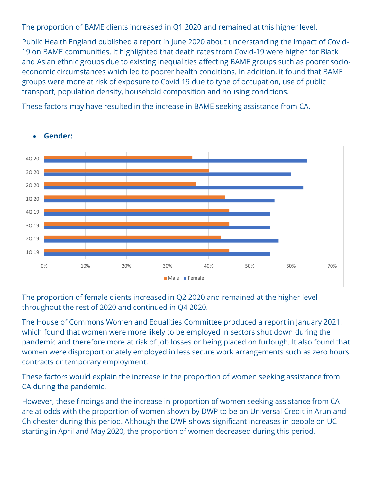The proportion of BAME clients increased in Q1 2020 and remained at this higher level.

Public Health England published a report in June 2020 about understanding the impact of Covid-19 on BAME communities. It highlighted that death rates from Covid-19 were higher for Black and Asian ethnic groups due to existing inequalities affecting BAME groups such as poorer socioeconomic circumstances which led to poorer health conditions. In addition, it found that BAME groups were more at risk of exposure to Covid 19 due to type of occupation, use of public transport, population density, household composition and housing conditions.

These factors may have resulted in the increase in BAME seeking assistance from CA.



#### • **Gender:**

The proportion of female clients increased in Q2 2020 and remained at the higher level throughout the rest of 2020 and continued in Q4 2020.

The House of Commons Women and Equalities Committee produced a report in January 2021, which found that women were more likely to be employed in sectors shut down during the pandemic and therefore more at risk of job losses or being placed on furlough. It also found that women were disproportionately employed in less secure work arrangements such as zero hours contracts or temporary employment.

These factors would explain the increase in the proportion of women seeking assistance from CA during the pandemic.

However, these findings and the increase in proportion of women seeking assistance from CA are at odds with the proportion of women shown by DWP to be on Universal Credit in Arun and Chichester during this period. Although the DWP shows significant increases in people on UC starting in April and May 2020, the proportion of women decreased during this period.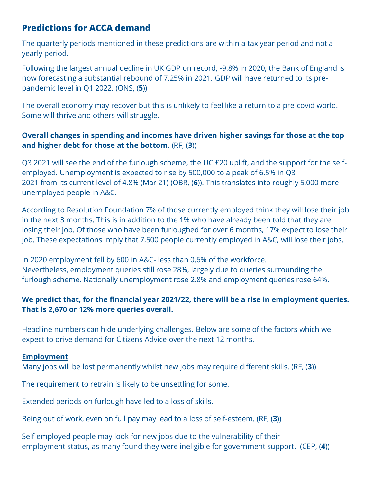# **Predictions for ACCA demand**

The quarterly periods mentioned in these predictions are within a tax year period and not a yearly period.

Following the largest annual decline in UK GDP on record, -9.8% in 2020, the Bank of England is now forecasting a substantial rebound of 7.25% in 2021. GDP will have returned to its prepandemic level in Q1 2022. (ONS, (**5**))

The overall economy may recover but this is unlikely to feel like a return to a pre-covid world. Some will thrive and others will struggle.

## **Overall changes in spending and incomes have driven higher savings for those at the top and higher debt for those at the bottom.** (RF, (**3**))

Q3 2021 will see the end of the furlough scheme, the UC £20 uplift, and the support for the selfemployed. Unemployment is expected to rise by 500,000 to a peak of 6.5% in Q3 2021 from its current level of 4.8% (Mar 21) (OBR, (**6**)). This translates into roughly 5,000 more unemployed people in A&C.

According to Resolution Foundation 7% of those currently employed think they will lose their job in the next 3 months. This is in addition to the 1% who have already been told that they are losing their job. Of those who have been furloughed for over 6 months, 17% expect to lose their job. These expectations imply that 7,500 people currently employed in A&C, will lose their jobs.

In 2020 employment fell by 600 in A&C- less than 0.6% of the workforce. Nevertheless, employment queries still rose 28%, largely due to queries surrounding the furlough scheme. Nationally unemployment rose 2.8% and employment queries rose 64%.

## **We predict that, for the financial year 2021/22, there will be a rise in employment queries. That is 2,670 or 12% more queries overall.**

Headline numbers can hide underlying challenges. Below are some of the factors which we expect to drive demand for Citizens Advice over the next 12 months.

#### **Employment**

Many jobs will be lost permanently whilst new jobs may require different skills. (RF, (**3**))

The requirement to retrain is likely to be unsettling for some.

Extended periods on furlough have led to a loss of skills.

Being out of work, even on full pay may lead to a loss of self-esteem. (RF, (**3**))

Self-employed people may look for new jobs due to the vulnerability of their employment status, as many found they were ineligible for government support. (CEP, (**4**))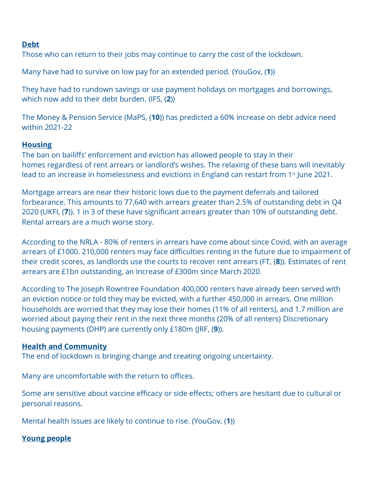#### **Debt**

Those who can return to their jobs may continue to carry the cost of the lockdown.

Many have had to survive on low pay for an extended period. (YouGov, (**1**))

They have had to rundown savings or use payment holidays on mortgages and borrowings, which now add to their debt burden. (IFS, (**2**))

The Money & Pension Service (MaPS, (**10**)) has predicted a 60% increase on debt advice need within 2021-22

#### **Housing**

The ban on bailiffs' enforcement and eviction has allowed people to stay in their homes regardless of rent arrears or landlord's wishes. The relaxing of these bans will inevitably lead to an increase in homelessness and evictions in England can restart from 1<sup>st</sup> June 2021.

Mortgage arrears are near their historic lows due to the payment deferrals and tailored forbearance. This amounts to 77,640 with arrears greater than 2.5% of outstanding debt in Q4 2020 (UKFI, (**7**)). 1 in 3 of these have significant arrears greater than 10% of outstanding debt. Rental arrears are a much worse story.

According to the NRLA - 80% of renters in arrears have come about since Covid, with an average arrears of £1000. 210,000 renters may face difficulties renting in the future due to impairment of their credit scores, as landlords use the courts to recover rent arrears (FT, (**8**)). Estimates of rent arrears are £1bn outstanding, an increase of £300m since March 2020.

According to The Joseph Rowntree Foundation 400,000 renters have already been served with an eviction notice or told they may be evicted, with a further 450,000 in arrears. One million households are worried that they may lose their homes (11% of all renters), and 1.7 million are worried about paying their rent in the next three months (20% of all renters) Discretionary housing payments (DHP) are currently only £180m (JRF, (**9**)).

#### **Health and Community**

The end of lockdown is bringing change and creating ongoing uncertainty.

Many are uncomfortable with the return to offices.

Some are sensitive about vaccine efficacy or side effects; others are hesitant due to cultural or personal reasons.

Mental health issues are likely to continue to rise. (YouGov, (**1**))

#### **Young people**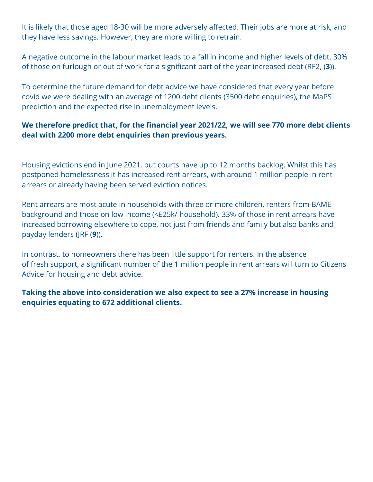It is likely that those aged 18-30 will be more adversely affected. Their jobs are more at risk, and they have less savings. However, they are more willing to retrain.

A negative outcome in the labour market leads to a fall in income and higher levels of debt. 30% of those on furlough or out of work for a significant part of the year increased debt (RF2, (**3**)).

To determine the future demand for debt advice we have considered that every year before covid we were dealing with an average of 1200 debt clients (3500 debt enquiries), the MaPS prediction and the expected rise in unemployment levels.

#### **We therefore predict that, for the financial year 2021/22, we will see 770 more debt clients deal with 2200 more debt enquiries than previous years.**

Housing evictions end in June 2021, but courts have up to 12 months backlog. Whilst this has postponed homelessness it has increased rent arrears, with around 1 million people in rent arrears or already having been served eviction notices.

Rent arrears are most acute in households with three or more children, renters from BAME background and those on low income (<£25k/ household). 33% of those in rent arrears have increased borrowing elsewhere to cope, not just from friends and family but also banks and payday lenders (JRF (**9**)).

In contrast, to homeowners there has been little support for renters. In the absence of fresh support, a significant number of the 1 million people in rent arrears will turn to Citizens Advice for housing and debt advice.

## **Taking the above into consideration we also expect to see a 27% increase in housing enquiries equating to 672 additional clients.**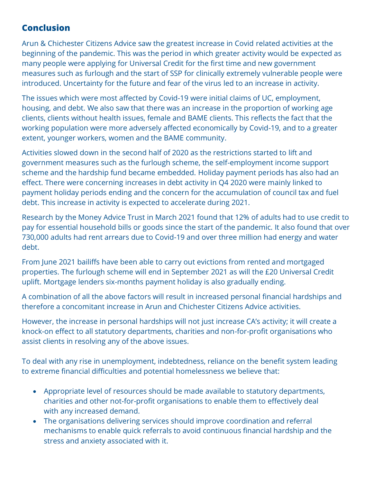# **Conclusion**

Arun & Chichester Citizens Advice saw the greatest increase in Covid related activities at the beginning of the pandemic. This was the period in which greater activity would be expected as many people were applying for Universal Credit for the first time and new government measures such as furlough and the start of SSP for clinically extremely vulnerable people were introduced. Uncertainty for the future and fear of the virus led to an increase in activity.

The issues which were most affected by Covid-19 were initial claims of UC, employment, housing, and debt. We also saw that there was an increase in the proportion of working age clients, clients without health issues, female and BAME clients. This reflects the fact that the working population were more adversely affected economically by Covid-19, and to a greater extent, younger workers, women and the BAME community.

Activities slowed down in the second half of 2020 as the restrictions started to lift and government measures such as the furlough scheme, the self-employment income support scheme and the hardship fund became embedded. Holiday payment periods has also had an effect. There were concerning increases in debt activity in Q4 2020 were mainly linked to payment holiday periods ending and the concern for the accumulation of council tax and fuel debt. This increase in activity is expected to accelerate during 2021.

Research by the Money Advice Trust in March 2021 found that 12% of adults had to use credit to pay for essential household bills or goods since the start of the pandemic. It also found that over 730,000 adults had rent arrears due to Covid-19 and over three million had energy and water debt.

From June 2021 bailiffs have been able to carry out evictions from rented and mortgaged properties. The furlough scheme will end in September 2021 as will the £20 Universal Credit uplift. Mortgage lenders six-months payment holiday is also gradually ending.

A combination of all the above factors will result in increased personal financial hardships and therefore a concomitant increase in Arun and Chichester Citizens Advice activities.

However, the increase in personal hardships will not just increase CA's activity; it will create a knock-on effect to all statutory departments, charities and non-for-profit organisations who assist clients in resolving any of the above issues.

To deal with any rise in unemployment, indebtedness, reliance on the benefit system leading to extreme financial difficulties and potential homelessness we believe that:

- Appropriate level of resources should be made available to statutory departments, charities and other not-for-profit organisations to enable them to effectively deal with any increased demand.
- The organisations delivering services should improve coordination and referral mechanisms to enable quick referrals to avoid continuous financial hardship and the stress and anxiety associated with it.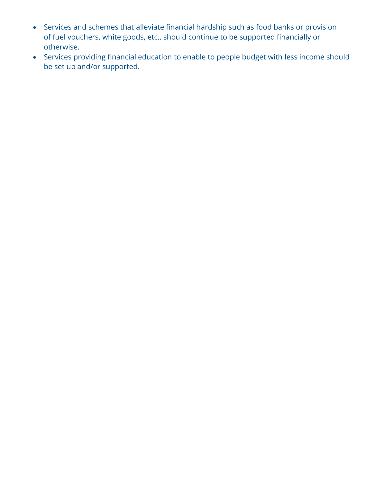- Services and schemes that alleviate financial hardship such as food banks or provision of fuel vouchers, white goods, etc., should continue to be supported financially or otherwise.
- Services providing financial education to enable to people budget with less income should be set up and/or supported.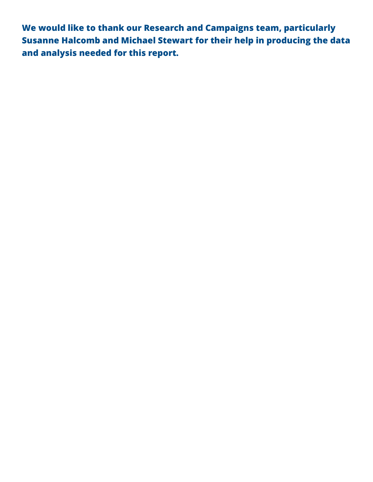**We would like to thank our Research and Campaigns team, particularly Susanne Halcomb and Michael Stewart for their help in producing the data and analysis needed for this report.**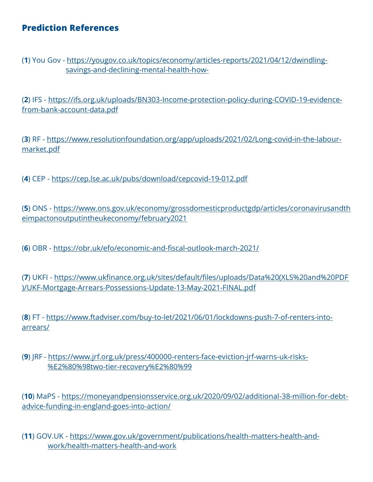## **Prediction References**

(**1**) You Gov - [https://yougov.co.uk/topics/economy/articles-reports/2021/04/12/dwindling](https://yougov.co.uk/topics/economy/articles-reports/2021/04/12/dwindling-savings-and-declining-mental-health-how-)savings-and-declining-mental-health-how-

(**2**) IFS - [https://ifs.org.uk/uploads/BN303-Income-protection-policy-during-COVID-19-evidence](https://ifs.org.uk/uploads/BN303-Income-protection-policy-during-COVID-19-evidence-from-bank-account-data.pdf)from-bank-account-data.pdf

(**3**) RF - [https://www.resolutionfoundation.org/app/uploads/2021/02/Long-covid-in-the-labour](https://www.resolutionfoundation.org/app/uploads/2021/02/Long-covid-in-the-labour-market.pdf)market.pdf

(**4**) CEP - <https://cep.lse.ac.uk/pubs/download/cepcovid-19-012.pdf>

(**5**) ONS - [https://www.ons.gov.uk/economy/grossdomesticproductgdp/articles/coronavirusandth](https://www.ons.gov.uk/economy/grossdomesticproductgdp/articles/coronavirusandtheimpactonoutputintheukeconomy/february2021)  eimpactonoutputintheukeconomy/february2021

(**6**) OBR - <https://obr.uk/efo/economic-and-fiscal-outlook-march-2021/>

(**7**) UKFI - [https://www.ukfinance.org.uk/sites/default/files/uploads/Data%20\(XLS%20and%20PDF](https://www.ukfinance.org.uk/sites/default/files/uploads/Data%20(XLS%20and%20PDF)/UKF-Mortgage-Arrears-Possessions-Update-13-May-2021-FINAL.pdf) )/UKF-Mortgage-Arrears-Possessions-Update-13-May-2021-FINAL.pdf

(**8**) FT - [https://www.ftadviser.com/buy-to-let/2021/06/01/lockdowns-push-7-of-renters-into](https://www.ftadviser.com/buy-to-let/2021/06/01/lockdowns-push-7-of-renters-into-arrears/)arrears/

(**9**) JRF - [https://www.jrf.org.uk/press/400000-renters-face-eviction-jrf-warns-uk-risks-](https://www.jrf.org.uk/press/400000-renters-face-eviction-jrf-warns-uk-risks-%E2%80%98two-tier-recovery%E2%80%99) %E2%80%98two-tier-recovery%E2%80%99

(**10**) MaPS - [https://moneyandpensionsservice.org.uk/2020/09/02/additional-38-million-for-debt](https://moneyandpensionsservice.org.uk/2020/09/02/additional-38-million-for-debt-advice-funding-in-england-goes-into-action/)advice-funding-in-england-goes-into-action/

(**11**) GOV.UK - [https://www.gov.uk/government/publications/health-matters-health-and](https://www.gov.uk/government/publications/health-matters-health-and-work/health-matters-health-and-work) work/health-matters-health-and-work